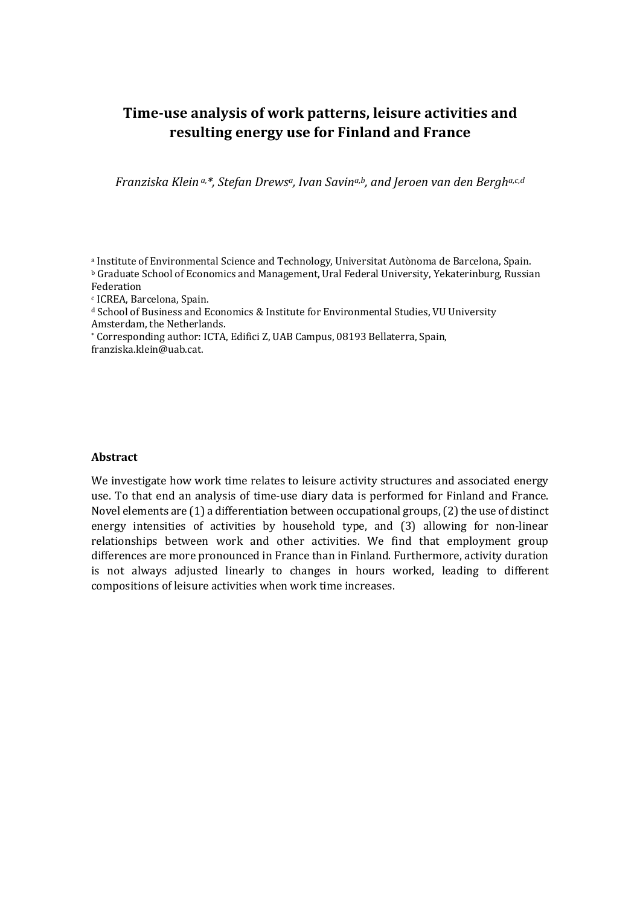## **Time-use analysis of work patterns, leisure activities and resulting energy use for Finland and France**

*Franziska Klein* a,\*, *Stefan Drews<sup>a</sup>*, *Ivan Savina,b*, and Jeroen van den Bergha,c,d

a Institute of Environmental Science and Technology, Universitat Autònoma de Barcelona, Spain. **b Graduate School of Economics and Management, Ural Federal University, Yekaterinburg, Russian** Federation

<sup>c</sup> ICREA, Barcelona, Spain.

<sup>d</sup> School of Business and Economics & Institute for Environmental Studies, VU University Amsterdam, the Netherlands.

\* Corresponding author: ICTA, Edifici Z, UAB Campus, 08193 Bellaterra, Spain, franziska.klein@uab.cat.

## **Abstract**

We investigate how work time relates to leisure activity structures and associated energy use. To that end an analysis of time-use diary data is performed for Finland and France. Novel elements are  $(1)$  a differentiation between occupational groups,  $(2)$  the use of distinct energy intensities of activities by household type, and (3) allowing for non-linear relationships between work and other activities. We find that employment group differences are more pronounced in France than in Finland. Furthermore, activity duration is not always adjusted linearly to changes in hours worked, leading to different compositions of leisure activities when work time increases.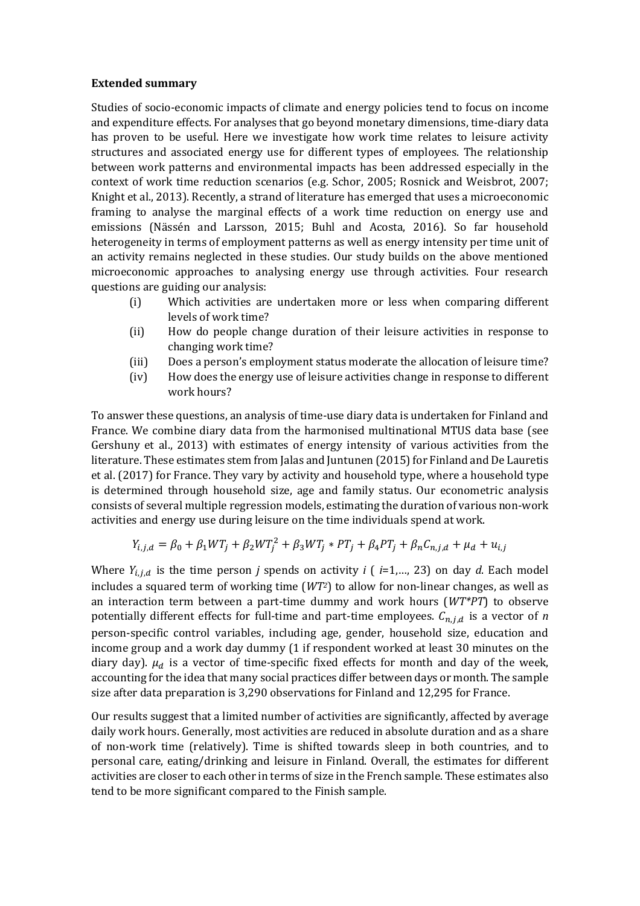## **Extended summary**

Studies of socio-economic impacts of climate and energy policies tend to focus on income and expenditure effects. For analyses that go beyond monetary dimensions, time-diary data has proven to be useful. Here we investigate how work time relates to leisure activity structures and associated energy use for different types of employees. The relationship between work patterns and environmental impacts has been addressed especially in the context of work time reduction scenarios (e.g. Schor, 2005; Rosnick and Weisbrot, 2007; Knight et al., 2013). Recently, a strand of literature has emerged that uses a microeconomic framing to analyse the marginal effects of a work time reduction on energy use and emissions (Nässén and Larsson, 2015; Buhl and Acosta, 2016). So far household heterogeneity in terms of employment patterns as well as energy intensity per time unit of an activity remains neglected in these studies. Our study builds on the above mentioned microeconomic approaches to analysing energy use through activities. Four research questions are guiding our analysis:

- (i) Which activities are undertaken more or less when comparing different levels of work time?
- (ii) How do people change duration of their leisure activities in response to changing work time?
- (iii) Does a person's employment status moderate the allocation of leisure time?
- (iv) How does the energy use of leisure activities change in response to different work hours?

To answer these questions, an analysis of time-use diary data is undertaken for Finland and France. We combine diary data from the harmonised multinational MTUS data base (see Gershuny et al., 2013) with estimates of energy intensity of various activities from the literature. These estimates stem from Jalas and Juntunen (2015) for Finland and De Lauretis et al. (2017) for France. They vary by activity and household type, where a household type is determined through household size, age and family status. Our econometric analysis consists of several multiple regression models, estimating the duration of various non-work activities and energy use during leisure on the time individuals spend at work.

$$
Y_{i,j,d} = \beta_0 + \beta_1 WT_j + \beta_2 WT_j^2 + \beta_3 WT_j * PT_j + \beta_4 PT_j + \beta_n C_{n,j,d} + \mu_d + u_{i,j}
$$

Where  $Y_{i,i,d}$  is the time person *j* spends on activity *i* ( *i*=1,..., 23) on day *d*. Each model includes a squared term of working time  $(WT<sup>2</sup>)$  to allow for non-linear changes, as well as an interaction term between a part-time dummy and work hours (WT\*PT) to observe potentially different effects for full-time and part-time employees.  $C_{n,i,d}$  is a vector of *n* person-specific control variables, including age, gender, household size, education and income group and a work day dummy (1 if respondent worked at least 30 minutes on the diary day).  $\mu_d$  is a vector of time-specific fixed effects for month and day of the week, accounting for the idea that many social practices differ between days or month. The sample size after data preparation is 3,290 observations for Finland and 12,295 for France.

Our results suggest that a limited number of activities are significantly, affected by average daily work hours. Generally, most activities are reduced in absolute duration and as a share of non-work time (relatively). Time is shifted towards sleep in both countries, and to personal care, eating/drinking and leisure in Finland. Overall, the estimates for different activities are closer to each other in terms of size in the French sample. These estimates also tend to be more significant compared to the Finish sample.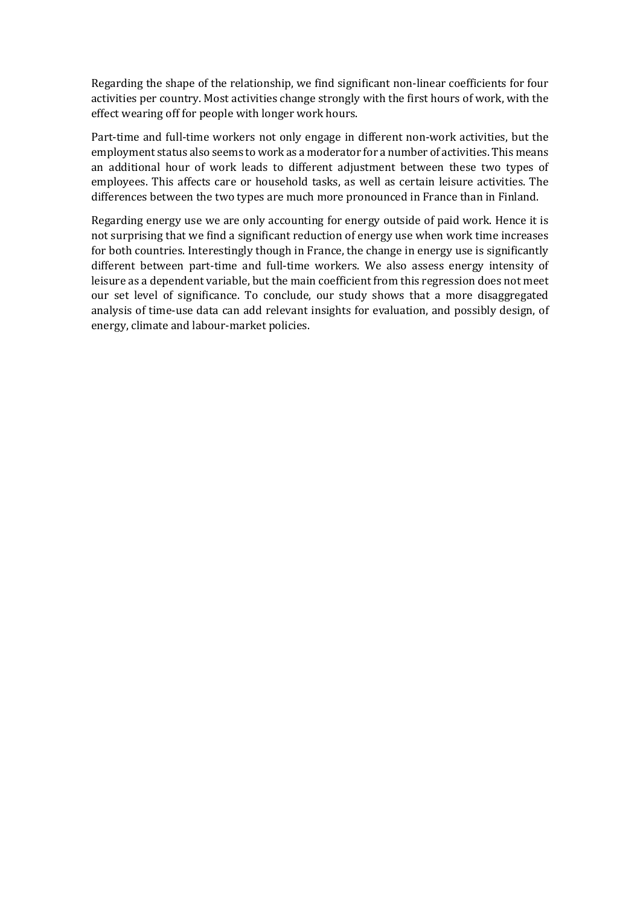Regarding the shape of the relationship, we find significant non-linear coefficients for four activities per country. Most activities change strongly with the first hours of work, with the effect wearing off for people with longer work hours.

Part-time and full-time workers not only engage in different non-work activities, but the employment status also seems to work as a moderator for a number of activities. This means an additional hour of work leads to different adjustment between these two types of employees. This affects care or household tasks, as well as certain leisure activities. The differences between the two types are much more pronounced in France than in Finland.

Regarding energy use we are only accounting for energy outside of paid work. Hence it is not surprising that we find a significant reduction of energy use when work time increases for both countries. Interestingly though in France, the change in energy use is significantly different between part-time and full-time workers. We also assess energy intensity of leisure as a dependent variable, but the main coefficient from this regression does not meet our set level of significance. To conclude, our study shows that a more disaggregated analysis of time-use data can add relevant insights for evaluation, and possibly design, of energy, climate and labour-market policies.